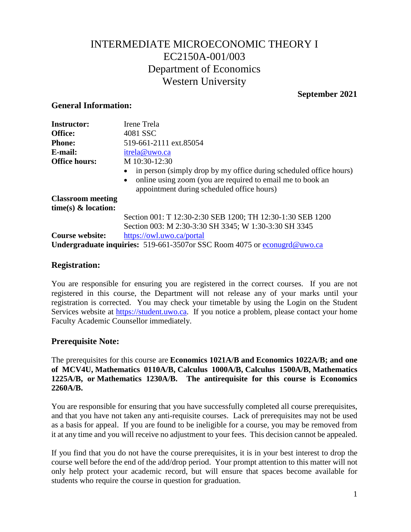# INTERMEDIATE MICROECONOMIC THEORY I EC2150A-001/003 Department of Economics Western University

# **September 2021**

### **General Information:**

| <b>Instructor:</b>       | Irene Trela                                                                                                                                                                                 |  |  |
|--------------------------|---------------------------------------------------------------------------------------------------------------------------------------------------------------------------------------------|--|--|
|                          |                                                                                                                                                                                             |  |  |
| Office:                  | 4081 SSC                                                                                                                                                                                    |  |  |
| <b>Phone:</b>            | 519-661-2111 ext.85054                                                                                                                                                                      |  |  |
| E-mail:                  | itrela@uwo.ca                                                                                                                                                                               |  |  |
| <b>Office hours:</b>     | M 10:30-12:30                                                                                                                                                                               |  |  |
|                          | in person (simply drop by my office during scheduled office hours)<br>online using zoom (you are required to email me to book an<br>$\bullet$<br>appointment during scheduled office hours) |  |  |
| <b>Classroom</b> meeting |                                                                                                                                                                                             |  |  |
| time(s) $\&$ location:   |                                                                                                                                                                                             |  |  |
|                          | Section 001: T 12:30-2:30 SEB 1200; TH 12:30-1:30 SEB 1200                                                                                                                                  |  |  |
|                          | Section 003: M 2:30-3:30 SH 3345; W 1:30-3:30 SH 3345                                                                                                                                       |  |  |
| <b>Course website:</b>   | https://owl.uwo.ca/portal                                                                                                                                                                   |  |  |
|                          | <b>Undergraduate inquiries:</b> 519-661-3507 or SSC Room 4075 or econugra@uwo.ca                                                                                                            |  |  |

### **Registration:**

You are responsible for ensuring you are registered in the correct courses. If you are not registered in this course, the Department will not release any of your marks until your registration is corrected. You may check your timetable by using the Login on the Student Services website at [https://student.uwo.ca.](https://student.uwo.ca/) If you notice a problem, please contact your home Faculty Academic Counsellor immediately.

# **Prerequisite Note:**

The prerequisites for this course are **[Economics 1021A/B](http://westerncalendar.uwo.ca/Courses.cfm?CourseAcadCalendarID=KINGS_022072_4&SelectedCalendar=Live&ArchiveID=) and [Economics 1022A/B;](http://westerncalendar.uwo.ca/Courses.cfm?CourseAcadCalendarID=KINGS_022073_4&SelectedCalendar=Live&ArchiveID=) and one of MCV4U, [Mathematics 0110A/B,](http://westerncalendar.uwo.ca/Courses.cfm?CourseAcadCalendarID=KINGS_003376_2&SelectedCalendar=Live&ArchiveID=) [Calculus 1000A/B,](http://westerncalendar.uwo.ca/Courses.cfm?CourseAcadCalendarID=KINGS_013890_3&SelectedCalendar=Live&ArchiveID=) [Calculus 1500A/B,](http://westerncalendar.uwo.ca/Courses.cfm?CourseAcadCalendarID=MAIN_023735_1&SelectedCalendar=Live&ArchiveID=) [Mathematics](http://westerncalendar.uwo.ca/Courses.cfm?CourseAcadCalendarID=KINGS_020937_3&SelectedCalendar=Live&ArchiveID=)  [1225A/B,](http://westerncalendar.uwo.ca/Courses.cfm?CourseAcadCalendarID=KINGS_020937_3&SelectedCalendar=Live&ArchiveID=) or [Mathematics 1230A/B.](http://westerncalendar.uwo.ca/Courses.cfm?CourseAcadCalendarID=KINGS_027728_5&SelectedCalendar=Live&ArchiveID=) The antirequisite for this course is Economics 2260A/B.**

You are responsible for ensuring that you have successfully completed all course prerequisites, and that you have not taken any anti-requisite courses. Lack of prerequisites may not be used as a basis for appeal. If you are found to be ineligible for a course, you may be removed from it at any time and you will receive no adjustment to your fees. This decision cannot be appealed.

If you find that you do not have the course prerequisites, it is in your best interest to drop the course well before the end of the add/drop period. Your prompt attention to this matter will not only help protect your academic record, but will ensure that spaces become available for students who require the course in question for graduation.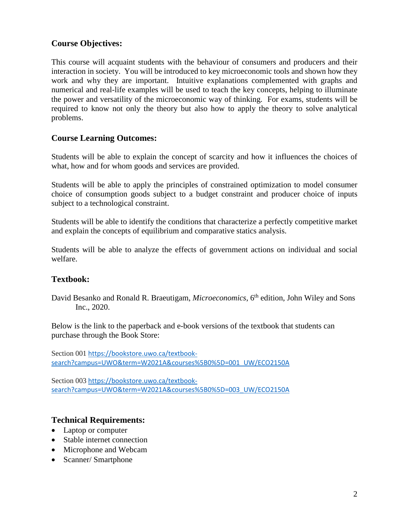# **Course Objectives:**

This course will acquaint students with the behaviour of consumers and producers and their interaction in society. You will be introduced to key microeconomic tools and shown how they work and why they are important. Intuitive explanations complemented with graphs and numerical and real-life examples will be used to teach the key concepts, helping to illuminate the power and versatility of the microeconomic way of thinking. For exams, students will be required to know not only the theory but also how to apply the theory to solve analytical problems.

### **Course Learning Outcomes:**

Students will be able to explain the concept of scarcity and how it influences the choices of what, how and for whom goods and services are provided.

Students will be able to apply the principles of constrained optimization to model consumer choice of consumption goods subject to a budget constraint and producer choice of inputs subject to a technological constraint.

Students will be able to identify the conditions that characterize a perfectly competitive market and explain the concepts of equilibrium and comparative statics analysis.

Students will be able to analyze the effects of government actions on individual and social welfare.

### **Textbook:**

David Besanko and Ronald R. Braeutigam, *Microeconomics*, 6<sup>th</sup> edition, John Wiley and Sons Inc., 2020.

Below is the link to the paperback and e-book versions of the textbook that students can purchase through the Book Store:

Section 001 [https://bookstore.uwo.ca/textbook](https://bookstore.uwo.ca/textbook-search?campus=UWO&term=W2021A&courses%5B0%5D=001_UW/ECO2150A)[search?campus=UWO&term=W2021A&courses%5B0%5D=001\\_UW/ECO2150A](https://bookstore.uwo.ca/textbook-search?campus=UWO&term=W2021A&courses%5B0%5D=001_UW/ECO2150A)

Section 003 [https://bookstore.uwo.ca/textbook](https://bookstore.uwo.ca/textbook-search?campus=UWO&term=W2021A&courses%5B0%5D=003_UW/ECO2150A)[search?campus=UWO&term=W2021A&courses%5B0%5D=003\\_UW/ECO2150A](https://bookstore.uwo.ca/textbook-search?campus=UWO&term=W2021A&courses%5B0%5D=003_UW/ECO2150A)

### **Technical Requirements:**

- Laptop or computer
- Stable internet connection
- Microphone and Webcam
- Scanner/ Smartphone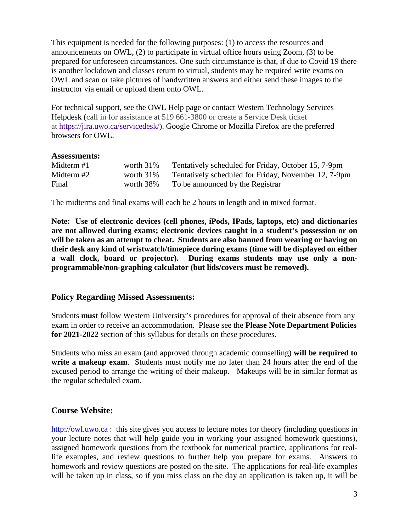This equipment is needed for the following purposes: (1) to access the resources and announcements on OWL, (2) to participate in virtual office hours using Zoom, (3) to be prepared for unforeseen circumstances. One such circumstance is that, if due to Covid 19 there is another lockdown and classes return to virtual, students may be required write exams on OWL and scan or take pictures of handwritten answers and either send these images to the instructor via email or upload them onto OWL.

For technical support, see the OWL Help page or contact Western Technology Services Helpdesk (call in for assistance at 519 661-3800 or create a Service Desk ticket at [https://jira.uwo.ca/servicedesk/\)](https://jira.uwo.ca/servicedesk/). Google Chrome or Mozilla Firefox are the preferred browsers for OWL.

#### **Assessments:**

| Midterm #1 | worth 31%    | Tentatively scheduled for Friday, October 15, 7-9pm  |
|------------|--------------|------------------------------------------------------|
| Midterm #2 | worth $31\%$ | Tentatively scheduled for Friday, November 12, 7-9pm |
| Final      | worth 38%    | To be announced by the Registrar                     |

The midterms and final exams will each be 2 hours in length and in mixed format.

**Note: Use of electronic devices (cell phones, iPods, IPads, laptops, etc) and dictionaries are not allowed during exams; electronic devices caught in a student's possession or on will be taken as an attempt to cheat. Students are also banned from wearing or having on their desk any kind of wristwatch/timepiece during exams (time will be displayed on either a wall clock, board or projector). During exams students may use only a nonprogrammable/non-graphing calculator (but lids/covers must be removed).** 

#### **Policy Regarding Missed Assessments:**

Students **must** follow Western University's procedures for approval of their absence from any exam in order to receive an accommodation. Please see the **Please Note Department Policies for 2021-2022** section of this syllabus for details on these procedures.

Students who miss an exam (and approved through academic counselling) **will be required to write a makeup exam**. Students must notify me no later than 24 hours after the end of the excused period to arrange the writing of their makeup. Makeups will be in similar format as the regular scheduled exam.

#### **Course Website:**

[http://owl.uwo.ca](http://owl.uwo.ca/) : this site gives you access to lecture notes for theory (including questions in your lecture notes that will help guide you in working your assigned homework questions), assigned homework questions from the textbook for numerical practice, applications for reallife examples, and review questions to further help you prepare for exams. Answers to homework and review questions are posted on the site. The applications for real-life examples will be taken up in class, so if you miss class on the day an application is taken up, it will be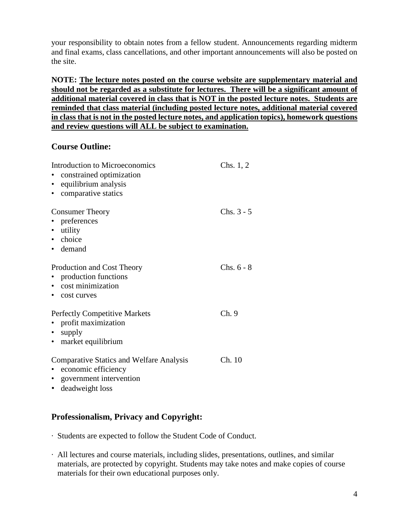your responsibility to obtain notes from a fellow student. Announcements regarding midterm and final exams, class cancellations, and other important announcements will also be posted on the site.

**NOTE: The lecture notes posted on the course website are supplementary material and should not be regarded as a substitute for lectures. There will be a significant amount of additional material covered in class that is NOT in the posted lecture notes. Students are reminded that class material (including posted lecture notes, additional material covered in class that is not in the posted lecture notes, and application topics), homework questions and review questions will ALL be subject to examination.** 

### **Course Outline:**

| Introduction to Microeconomics<br>constrained optimization<br>equilibrium analysis<br>$\bullet$<br>comparative statics<br>$\bullet$              | Chs. $1, 2$  |
|--------------------------------------------------------------------------------------------------------------------------------------------------|--------------|
| <b>Consumer Theory</b><br>• preferences<br>• utility<br>• choice<br>• demand                                                                     | $Chs. 3 - 5$ |
| Production and Cost Theory<br>production functions<br>• cost minimization<br>• cost curves                                                       | $Chs. 6 - 8$ |
| <b>Perfectly Competitive Markets</b><br>profit maximization<br>$\bullet$<br>• supply<br>• market equilibrium                                     | Ch.9         |
| <b>Comparative Statics and Welfare Analysis</b><br>economic efficiency<br>$\bullet$<br>• government intervention<br>deadweight loss<br>$\bullet$ | Ch. 10       |

# **Professionalism, Privacy and Copyright:**

- · Students are expected to follow the Student Code of Conduct.
- · All lectures and course materials, including slides, presentations, outlines, and similar materials, are protected by copyright. Students may take notes and make copies of course materials for their own educational purposes only.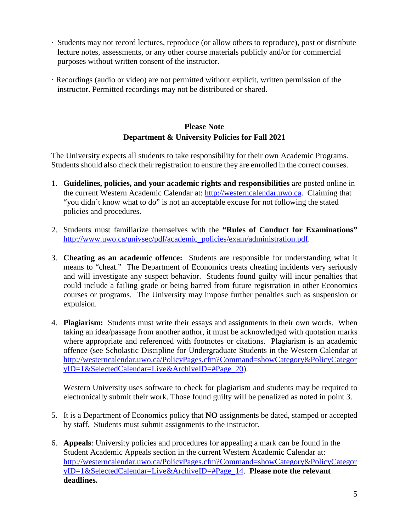- · Students may not record lectures, reproduce (or allow others to reproduce), post or distribute lecture notes, assessments, or any other course materials publicly and/or for commercial purposes without written consent of the instructor.
- · Recordings (audio or video) are not permitted without explicit, written permission of the instructor. Permitted recordings may not be distributed or shared.

## **Please Note Department & University Policies for Fall 2021**

The University expects all students to take responsibility for their own Academic Programs. Students should also check their registration to ensure they are enrolled in the correct courses.

- 1. **Guidelines, policies, and your academic rights and responsibilities** are posted online in the current Western Academic Calendar at: [http://westerncalendar.uwo.ca.](http://westerncalendar.uwo.ca/) Claiming that "you didn't know what to do" is not an acceptable excuse for not following the stated policies and procedures.
- 2. Students must familiarize themselves with the **"Rules of Conduct for Examinations"** [http://www.uwo.ca/univsec/pdf/academic\\_policies/exam/administration.pdf.](http://www.uwo.ca/univsec/pdf/academic_policies/exam/administration.pdf)
- 3. **Cheating as an academic offence:** Students are responsible for understanding what it means to "cheat." The Department of Economics treats cheating incidents very seriously and will investigate any suspect behavior. Students found guilty will incur penalties that could include a failing grade or being barred from future registration in other Economics courses or programs. The University may impose further penalties such as suspension or expulsion.
- 4. **Plagiarism:** Students must write their essays and assignments in their own words. When taking an idea/passage from another author, it must be acknowledged with quotation marks where appropriate and referenced with footnotes or citations. Plagiarism is an academic offence (see Scholastic Discipline for Undergraduate Students in the Western Calendar at [http://westerncalendar.uwo.ca/PolicyPages.cfm?Command=showCategory&PolicyCategor](http://westerncalendar.uwo.ca/PolicyPages.cfm?Command=showCategory&PolicyCategoryID=1&SelectedCalendar=Live&ArchiveID=#Page_20) [yID=1&SelectedCalendar=Live&ArchiveID=#Page\\_20\)](http://westerncalendar.uwo.ca/PolicyPages.cfm?Command=showCategory&PolicyCategoryID=1&SelectedCalendar=Live&ArchiveID=#Page_20).

Western University uses software to check for plagiarism and students may be required to electronically submit their work. Those found guilty will be penalized as noted in point 3.

- 5. It is a Department of Economics policy that **NO** assignments be dated, stamped or accepted by staff. Students must submit assignments to the instructor.
- 6. **Appeals**: University policies and procedures for appealing a mark can be found in the Student Academic Appeals section in the current Western Academic Calendar at: [http://westerncalendar.uwo.ca/PolicyPages.cfm?Command=showCategory&PolicyCategor](http://westerncalendar.uwo.ca/PolicyPages.cfm?Command=showCategory&PolicyCategoryID=1&SelectedCalendar=Live&ArchiveID=#Page_14) [yID=1&SelectedCalendar=Live&ArchiveID=#Page\\_14.](http://westerncalendar.uwo.ca/PolicyPages.cfm?Command=showCategory&PolicyCategoryID=1&SelectedCalendar=Live&ArchiveID=#Page_14) **Please note the relevant deadlines.**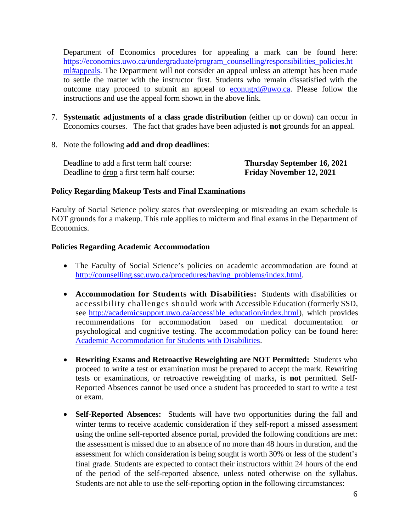Department of Economics procedures for appealing a mark can be found here: [https://economics.uwo.ca/undergraduate/program\\_counselling/responsibilities\\_policies.ht](https://economics.uwo.ca/undergraduate/program_counselling/responsibilities_policies.html#appeals) [ml#appeals.](https://economics.uwo.ca/undergraduate/program_counselling/responsibilities_policies.html#appeals) The Department will not consider an appeal unless an attempt has been made to settle the matter with the instructor first. Students who remain dissatisfied with the outcome may proceed to submit an appeal to [econugrd@uwo.ca.](mailto:econugrd@uwo.ca) Please follow the instructions and use the appeal form shown in the above link.

- 7. **Systematic adjustments of a class grade distribution** (either up or down) can occur in Economics courses. The fact that grades have been adjusted is **not** grounds for an appeal.
- 8. Note the following **add and drop deadlines**:

| Deadline to add a first term half course:  | <b>Thursday September 16, 2021</b> |
|--------------------------------------------|------------------------------------|
| Deadline to drop a first term half course: | <b>Friday November 12, 2021</b>    |

#### **Policy Regarding Makeup Tests and Final Examinations**

Faculty of Social Science policy states that oversleeping or misreading an exam schedule is NOT grounds for a makeup. This rule applies to midterm and final exams in the Department of Economics.

#### **Policies Regarding Academic Accommodation**

- The Faculty of Social Science's policies on academic accommodation are found at [http://counselling.ssc.uwo.ca/procedures/having\\_problems/index.html.](http://counselling.ssc.uwo.ca/procedures/having_problems/index.html)
- **Accommodation for Students with Disabilities:** Students with disabilities or accessibility challenges should work with Accessible Education (formerly SSD, see [http://academicsupport.uwo.ca/accessible\\_education/index.html\)](http://academicsupport.uwo.ca/accessible_education/index.html), which provides recommendations for accommodation based on medical documentation or psychological and cognitive testing. The accommodation policy can be found here: [Academic Accommodation for Students with Disabilities.](https://www.uwo.ca/univsec/pdf/academic_policies/appeals/Academic%20Accommodation_disabilities.pdf)
- **Rewriting Exams and Retroactive Reweighting are NOT Permitted:** Students who proceed to write a test or examination must be prepared to accept the mark. Rewriting tests or examinations, or retroactive reweighting of marks, is **not** permitted. Self-Reported Absences cannot be used once a student has proceeded to start to write a test or exam.
- **Self-Reported Absences:** Students will have two opportunities during the fall and winter terms to receive academic consideration if they self-report a missed assessment using the online self-reported absence portal, provided the following conditions are met: the assessment is missed due to an absence of no more than 48 hours in duration, and the assessment for which consideration is being sought is worth 30% or less of the student's final grade. Students are expected to contact their instructors within 24 hours of the end of the period of the self-reported absence, unless noted otherwise on the syllabus. Students are not able to use the self-reporting option in the following circumstances: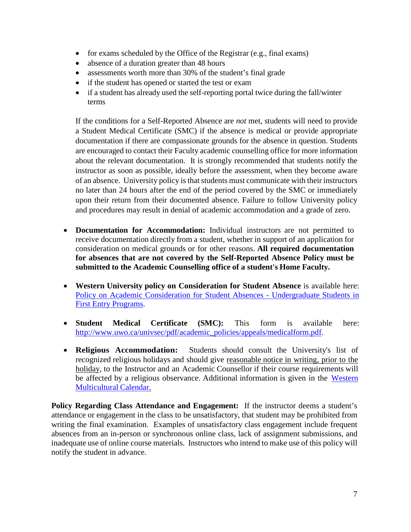- for exams scheduled by the Office of the Registrar (e.g., final exams)
- absence of a duration greater than 48 hours
- assessments worth more than 30% of the student's final grade
- if the student has opened or started the test or exam
- if a student has already used the self-reporting portal twice during the fall/winter terms

If the conditions for a Self-Reported Absence are *not* met, students will need to provide a Student Medical Certificate (SMC) if the absence is medical or provide appropriate documentation if there are compassionate grounds for the absence in question. Students are encouraged to contact their Faculty academic counselling office for more information about the relevant documentation. It is strongly recommended that students notify the instructor as soon as possible, ideally before the assessment, when they become aware of an absence. University policy is that students must communicate with their instructors no later than 24 hours after the end of the period covered by the SMC or immediately upon their return from their documented absence. Failure to follow University policy and procedures may result in denial of academic accommodation and a grade of zero.

- **Documentation for Accommodation:** Individual instructors are not permitted to receive documentation directly from a student, whether in support of an application for consideration on medical grounds or for other reasons. **All required documentation for absences that are not covered by the Self-Reported Absence Policy must be submitted to the Academic Counselling office of a student's Home Faculty.**
- **Western University policy on Consideration for Student Absence** is available here: [Policy on Academic Consideration for Student Absences -](https://www.uwo.ca/univsec/pdf/academic_policies/appeals/Academic_Consideration_for_absences.pdf) Undergraduate Students in [First Entry Programs.](https://www.uwo.ca/univsec/pdf/academic_policies/appeals/Academic_Consideration_for_absences.pdf)
- **Student Medical Certificate (SMC):** This form is available here: [http://www.uwo.ca/univsec/pdf/academic\\_policies/appeals/medicalform.pdf.](http://www.uwo.ca/univsec/pdf/academic_policies/appeals/medicalform.pdf)
- **Religious Accommodation:** Students should consult the University's list of recognized religious holidays and should give reasonable notice in writing, prior to the holiday, to the Instructor and an Academic Counsellor if their course requirements will be affected by a religious observance. Additional information is given in the [Western](https://multiculturalcalendar.com/ecal/index.php?s=c-univwo) [Multicultural](https://multiculturalcalendar.com/ecal/index.php?s=c-univwo) Calendar.

**Policy Regarding Class Attendance and Engagement:** If the instructor deems a student's attendance or engagement in the class to be unsatisfactory, that student may be prohibited from writing the final examination. Examples of unsatisfactory class engagement include frequent absences from an in-person or synchronous online class, lack of assignment submissions, and inadequate use of online course materials. Instructors who intend to make use of this policy will notify the student in advance.